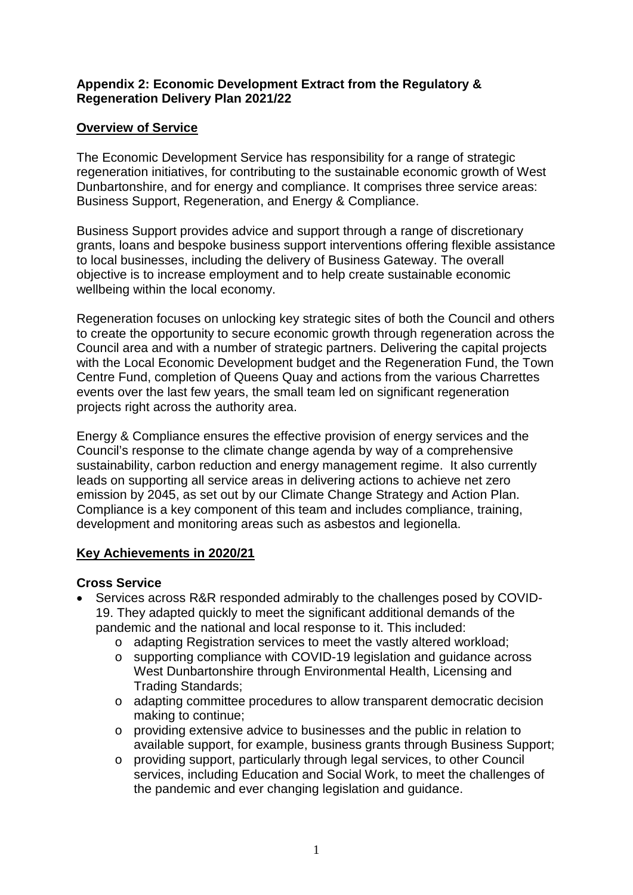#### **Appendix 2: Economic Development Extract from the Regulatory & Regeneration Delivery Plan 2021/22**

#### **Overview of Service**

The Economic Development Service has responsibility for a range of strategic regeneration initiatives, for contributing to the sustainable economic growth of West Dunbartonshire, and for energy and compliance. It comprises three service areas: Business Support, Regeneration, and Energy & Compliance.

Business Support provides advice and support through a range of discretionary grants, loans and bespoke business support interventions offering flexible assistance to local businesses, including the delivery of Business Gateway. The overall objective is to increase employment and to help create sustainable economic wellbeing within the local economy.

Regeneration focuses on unlocking key strategic sites of both the Council and others to create the opportunity to secure economic growth through regeneration across the Council area and with a number of strategic partners. Delivering the capital projects with the Local Economic Development budget and the Regeneration Fund, the Town Centre Fund, completion of Queens Quay and actions from the various Charrettes events over the last few years, the small team led on significant regeneration projects right across the authority area.

Energy & Compliance ensures the effective provision of energy services and the Council's response to the climate change agenda by way of a comprehensive sustainability, carbon reduction and energy management regime. It also currently leads on supporting all service areas in delivering actions to achieve net zero emission by 2045, as set out by our Climate Change Strategy and Action Plan. Compliance is a key component of this team and includes compliance, training, development and monitoring areas such as asbestos and legionella.

#### **Key Achievements in 2020/21**

#### **Cross Service**

- Services across R&R responded admirably to the challenges posed by COVID-19. They adapted quickly to meet the significant additional demands of the pandemic and the national and local response to it. This included:
	- o adapting Registration services to meet the vastly altered workload;
	- o supporting compliance with COVID-19 legislation and guidance across West Dunbartonshire through Environmental Health, Licensing and Trading Standards;
	- o adapting committee procedures to allow transparent democratic decision making to continue;
	- o providing extensive advice to businesses and the public in relation to available support, for example, business grants through Business Support;
	- o providing support, particularly through legal services, to other Council services, including Education and Social Work, to meet the challenges of the pandemic and ever changing legislation and guidance.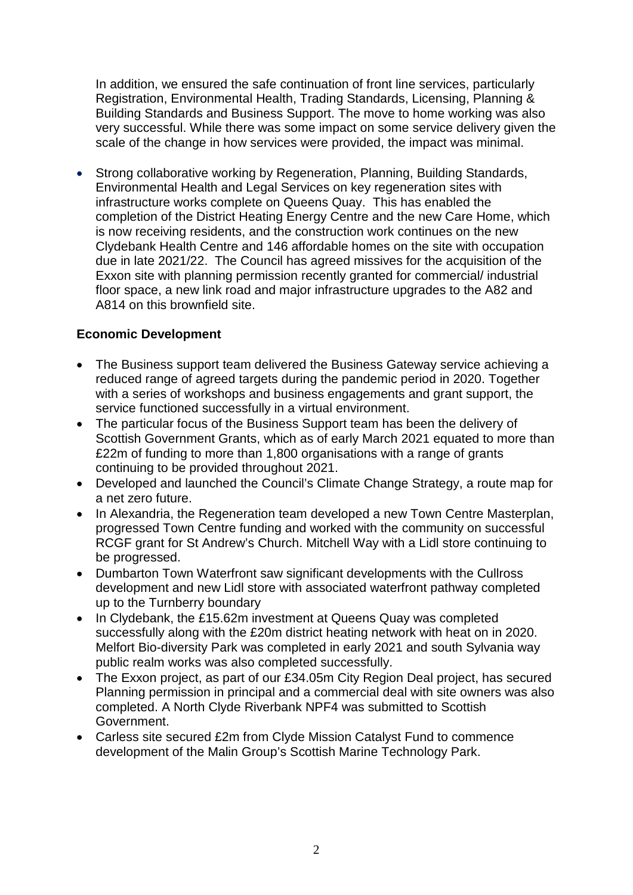In addition, we ensured the safe continuation of front line services, particularly Registration, Environmental Health, Trading Standards, Licensing, Planning & Building Standards and Business Support. The move to home working was also very successful. While there was some impact on some service delivery given the scale of the change in how services were provided, the impact was minimal.

• Strong collaborative working by Regeneration, Planning, Building Standards, Environmental Health and Legal Services on key regeneration sites with infrastructure works complete on Queens Quay. This has enabled the completion of the District Heating Energy Centre and the new Care Home, which is now receiving residents, and the construction work continues on the new Clydebank Health Centre and 146 affordable homes on the site with occupation due in late 2021/22. The Council has agreed missives for the acquisition of the Exxon site with planning permission recently granted for commercial/ industrial floor space, a new link road and major infrastructure upgrades to the A82 and A814 on this brownfield site.

#### **Economic Development**

- The Business support team delivered the Business Gateway service achieving a reduced range of agreed targets during the pandemic period in 2020. Together with a series of workshops and business engagements and grant support, the service functioned successfully in a virtual environment.
- The particular focus of the Business Support team has been the delivery of Scottish Government Grants, which as of early March 2021 equated to more than £22m of funding to more than 1,800 organisations with a range of grants continuing to be provided throughout 2021.
- Developed and launched the Council's Climate Change Strategy, a route map for a net zero future.
- In Alexandria, the Regeneration team developed a new Town Centre Masterplan, progressed Town Centre funding and worked with the community on successful RCGF grant for St Andrew's Church. Mitchell Way with a Lidl store continuing to be progressed.
- Dumbarton Town Waterfront saw significant developments with the Cullross development and new Lidl store with associated waterfront pathway completed up to the Turnberry boundary
- In Clydebank, the £15.62m investment at Queens Quay was completed successfully along with the £20m district heating network with heat on in 2020. Melfort Bio-diversity Park was completed in early 2021 and south Sylvania way public realm works was also completed successfully.
- The Exxon project, as part of our £34.05m City Region Deal project, has secured Planning permission in principal and a commercial deal with site owners was also completed. A North Clyde Riverbank NPF4 was submitted to Scottish Government.
- Carless site secured £2m from Clyde Mission Catalyst Fund to commence development of the Malin Group's Scottish Marine Technology Park.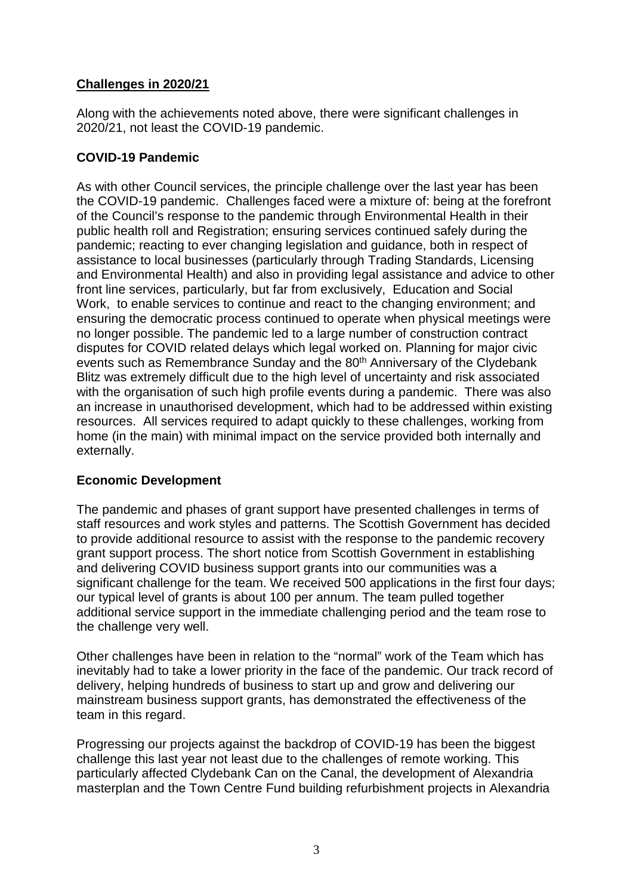#### **Challenges in 2020/21**

Along with the achievements noted above, there were significant challenges in 2020/21, not least the COVID-19 pandemic.

#### **COVID-19 Pandemic**

As with other Council services, the principle challenge over the last year has been the COVID-19 pandemic. Challenges faced were a mixture of: being at the forefront of the Council's response to the pandemic through Environmental Health in their public health roll and Registration; ensuring services continued safely during the pandemic; reacting to ever changing legislation and guidance, both in respect of assistance to local businesses (particularly through Trading Standards, Licensing and Environmental Health) and also in providing legal assistance and advice to other front line services, particularly, but far from exclusively, Education and Social Work, to enable services to continue and react to the changing environment; and ensuring the democratic process continued to operate when physical meetings were no longer possible. The pandemic led to a large number of construction contract disputes for COVID related delays which legal worked on. Planning for major civic events such as Remembrance Sunday and the 80<sup>th</sup> Anniversary of the Clydebank Blitz was extremely difficult due to the high level of uncertainty and risk associated with the organisation of such high profile events during a pandemic. There was also an increase in unauthorised development, which had to be addressed within existing resources. All services required to adapt quickly to these challenges, working from home (in the main) with minimal impact on the service provided both internally and externally.

### **Economic Development**

The pandemic and phases of grant support have presented challenges in terms of staff resources and work styles and patterns. The Scottish Government has decided to provide additional resource to assist with the response to the pandemic recovery grant support process. The short notice from Scottish Government in establishing and delivering COVID business support grants into our communities was a significant challenge for the team. We received 500 applications in the first four days; our typical level of grants is about 100 per annum. The team pulled together additional service support in the immediate challenging period and the team rose to the challenge very well.

Other challenges have been in relation to the "normal" work of the Team which has inevitably had to take a lower priority in the face of the pandemic. Our track record of delivery, helping hundreds of business to start up and grow and delivering our mainstream business support grants, has demonstrated the effectiveness of the team in this regard.

Progressing our projects against the backdrop of COVID-19 has been the biggest challenge this last year not least due to the challenges of remote working. This particularly affected Clydebank Can on the Canal, the development of Alexandria masterplan and the Town Centre Fund building refurbishment projects in Alexandria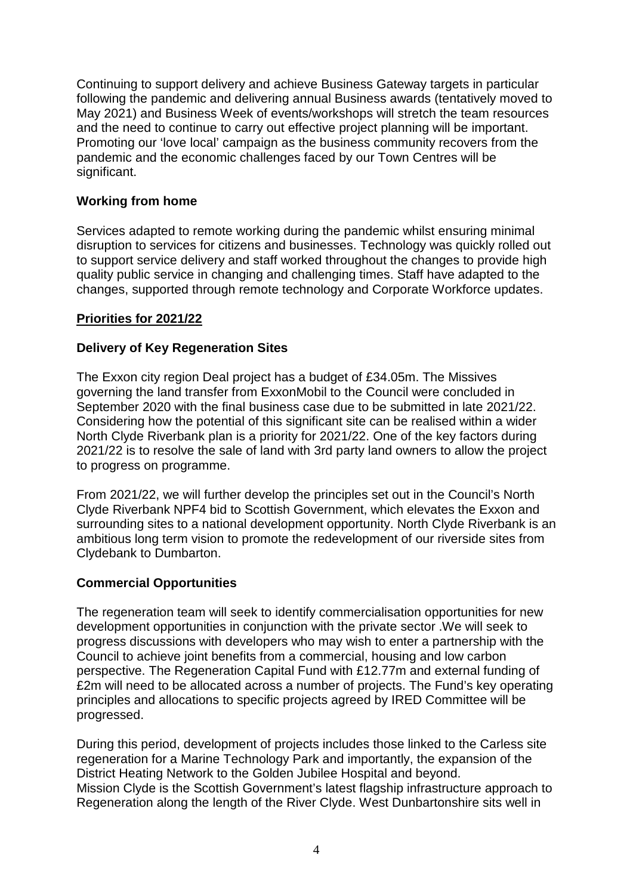Continuing to support delivery and achieve Business Gateway targets in particular following the pandemic and delivering annual Business awards (tentatively moved to May 2021) and Business Week of events/workshops will stretch the team resources and the need to continue to carry out effective project planning will be important. Promoting our 'love local' campaign as the business community recovers from the pandemic and the economic challenges faced by our Town Centres will be significant.

#### **Working from home**

Services adapted to remote working during the pandemic whilst ensuring minimal disruption to services for citizens and businesses. Technology was quickly rolled out to support service delivery and staff worked throughout the changes to provide high quality public service in changing and challenging times. Staff have adapted to the changes, supported through remote technology and Corporate Workforce updates.

#### **Priorities for 2021/22**

#### **Delivery of Key Regeneration Sites**

The Exxon city region Deal project has a budget of £34.05m. The Missives governing the land transfer from ExxonMobil to the Council were concluded in September 2020 with the final business case due to be submitted in late 2021/22. Considering how the potential of this significant site can be realised within a wider North Clyde Riverbank plan is a priority for 2021/22. One of the key factors during 2021/22 is to resolve the sale of land with 3rd party land owners to allow the project to progress on programme.

From 2021/22, we will further develop the principles set out in the Council's North Clyde Riverbank NPF4 bid to Scottish Government, which elevates the Exxon and surrounding sites to a national development opportunity. North Clyde Riverbank is an ambitious long term vision to promote the redevelopment of our riverside sites from Clydebank to Dumbarton.

#### **Commercial Opportunities**

The regeneration team will seek to identify commercialisation opportunities for new development opportunities in conjunction with the private sector .We will seek to progress discussions with developers who may wish to enter a partnership with the Council to achieve joint benefits from a commercial, housing and low carbon perspective. The Regeneration Capital Fund with £12.77m and external funding of £2m will need to be allocated across a number of projects. The Fund's key operating principles and allocations to specific projects agreed by IRED Committee will be progressed.

During this period, development of projects includes those linked to the Carless site regeneration for a Marine Technology Park and importantly, the expansion of the District Heating Network to the Golden Jubilee Hospital and beyond. Mission Clyde is the Scottish Government's latest flagship infrastructure approach to Regeneration along the length of the River Clyde. West Dunbartonshire sits well in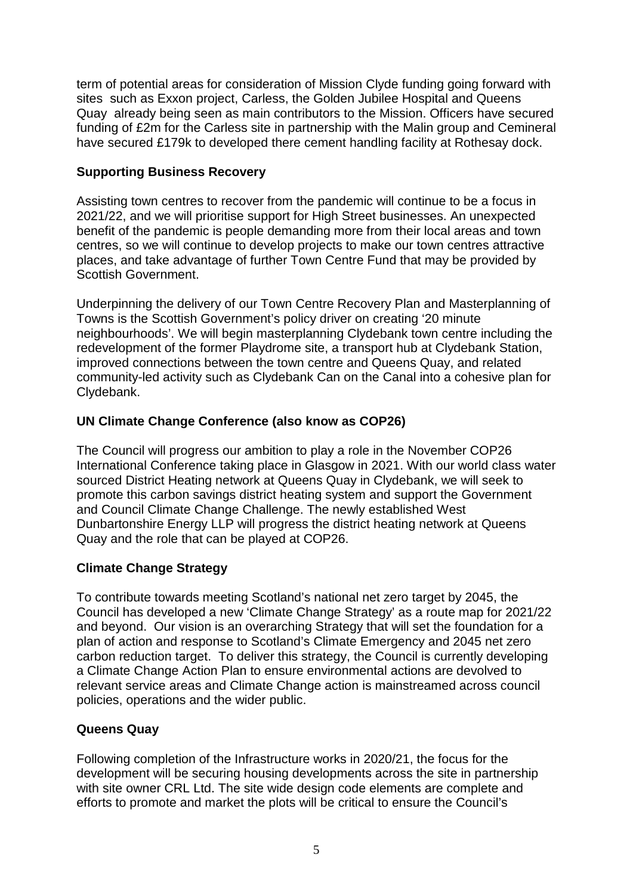term of potential areas for consideration of Mission Clyde funding going forward with sites such as Exxon project, Carless, the Golden Jubilee Hospital and Queens Quay already being seen as main contributors to the Mission. Officers have secured funding of £2m for the Carless site in partnership with the Malin group and Cemineral have secured £179k to developed there cement handling facility at Rothesay dock.

#### **Supporting Business Recovery**

Assisting town centres to recover from the pandemic will continue to be a focus in 2021/22, and we will prioritise support for High Street businesses. An unexpected benefit of the pandemic is people demanding more from their local areas and town centres, so we will continue to develop projects to make our town centres attractive places, and take advantage of further Town Centre Fund that may be provided by Scottish Government.

Underpinning the delivery of our Town Centre Recovery Plan and Masterplanning of Towns is the Scottish Government's policy driver on creating '20 minute neighbourhoods'. We will begin masterplanning Clydebank town centre including the redevelopment of the former Playdrome site, a transport hub at Clydebank Station, improved connections between the town centre and Queens Quay, and related community-led activity such as Clydebank Can on the Canal into a cohesive plan for Clydebank.

#### **UN Climate Change Conference (also know as COP26)**

The Council will progress our ambition to play a role in the November COP26 International Conference taking place in Glasgow in 2021. With our world class water sourced District Heating network at Queens Quay in Clydebank, we will seek to promote this carbon savings district heating system and support the Government and Council Climate Change Challenge. The newly established West Dunbartonshire Energy LLP will progress the district heating network at Queens Quay and the role that can be played at COP26.

#### **Climate Change Strategy**

To contribute towards meeting Scotland's national net zero target by 2045, the Council has developed a new 'Climate Change Strategy' as a route map for 2021/22 and beyond. Our vision is an overarching Strategy that will set the foundation for a plan of action and response to Scotland's Climate Emergency and 2045 net zero carbon reduction target. To deliver this strategy, the Council is currently developing a Climate Change Action Plan to ensure environmental actions are devolved to relevant service areas and Climate Change action is mainstreamed across council policies, operations and the wider public.

#### **Queens Quay**

Following completion of the Infrastructure works in 2020/21, the focus for the development will be securing housing developments across the site in partnership with site owner CRL Ltd. The site wide design code elements are complete and efforts to promote and market the plots will be critical to ensure the Council's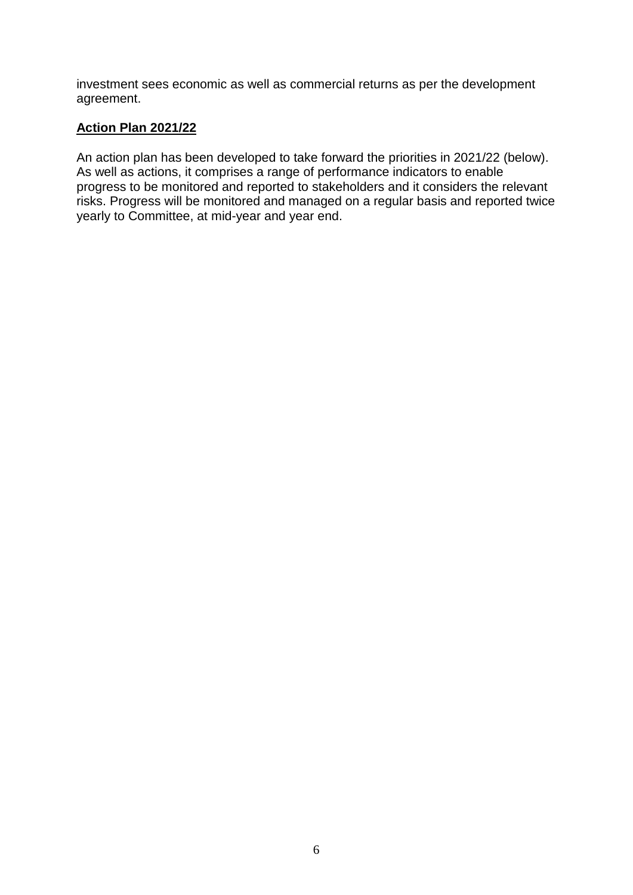investment sees economic as well as commercial returns as per the development agreement.

#### **Action Plan 2021/22**

An action plan has been developed to take forward the priorities in 2021/22 (below). As well as actions, it comprises a range of performance indicators to enable progress to be monitored and reported to stakeholders and it considers the relevant risks. Progress will be monitored and managed on a regular basis and reported twice yearly to Committee, at mid-year and year end.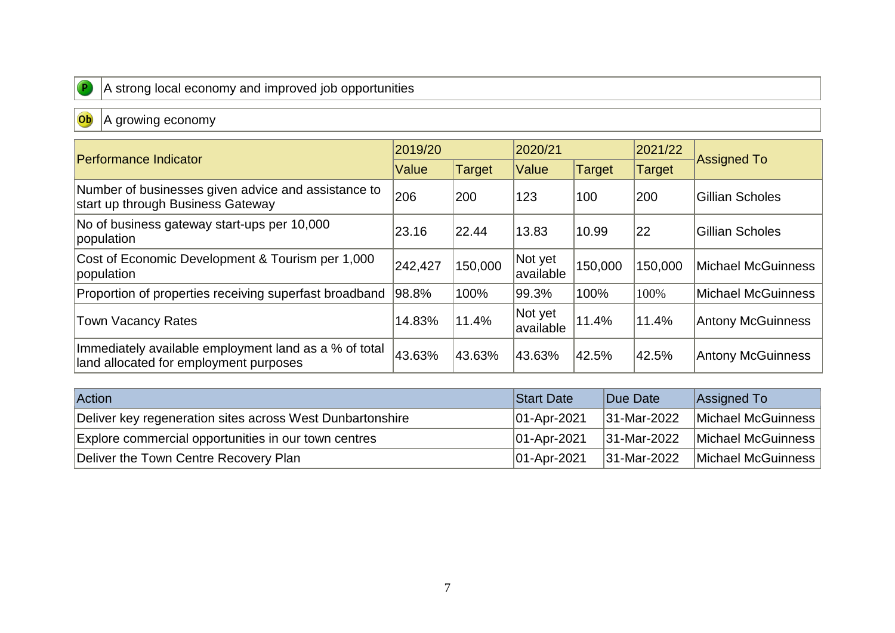

## A strong local economy and improved job opportunities

# Ob A growing economy

| Performance Indicator                                                                           | 2019/20 |         | 2020/21               |               | 2021/22 |                           |  |
|-------------------------------------------------------------------------------------------------|---------|---------|-----------------------|---------------|---------|---------------------------|--|
|                                                                                                 |         | Target  | Value                 | <b>Target</b> | Target  | <b>Assigned To</b>        |  |
| Number of businesses given advice and assistance to<br>start up through Business Gateway        | 206     | 200     | 123                   | 100           | 200     | Gillian Scholes           |  |
| No of business gateway start-ups per 10,000<br>population                                       | 23.16   | 22.44   | 13.83                 | 10.99         | 22      | Gillian Scholes           |  |
| Cost of Economic Development & Tourism per 1,000<br>population                                  | 242,427 | 150,000 | Not yet<br>lavailable | 150,000       | 150,000 | <b>Michael McGuinness</b> |  |
| Proportion of properties receiving superfast broadband                                          | 98.8%   | 100%    | 99.3%                 | 100%          | 100%    | Michael McGuinness        |  |
| <b>Town Vacancy Rates</b>                                                                       | 14.83%  | 11.4%   | Not yet<br>lavailable | 11.4%         | 11.4%   | <b>Antony McGuinness</b>  |  |
| Immediately available employment land as a % of total<br>land allocated for employment purposes | 43.63%  | 43.63%  | 43.63%                | 42.5%         | 42.5%   | <b>Antony McGuinness</b>  |  |

| <b>Action</b>                                             | <b>Start Date</b> | Due Date           | Assigned To        |
|-----------------------------------------------------------|-------------------|--------------------|--------------------|
| Deliver key regeneration sites across West Dunbartonshire | $ 01 -$ Apr-2021  | 31-Mar-2022        | Michael McGuinness |
| Explore commercial opportunities in our town centres      | $ 01 -$ Apr-2021  | 31-Mar-2022        | Michael McGuinness |
| Deliver the Town Centre Recovery Plan                     | $ 01 -$ Apr-2021  | <b>31-Mar-2022</b> | Michael McGuinness |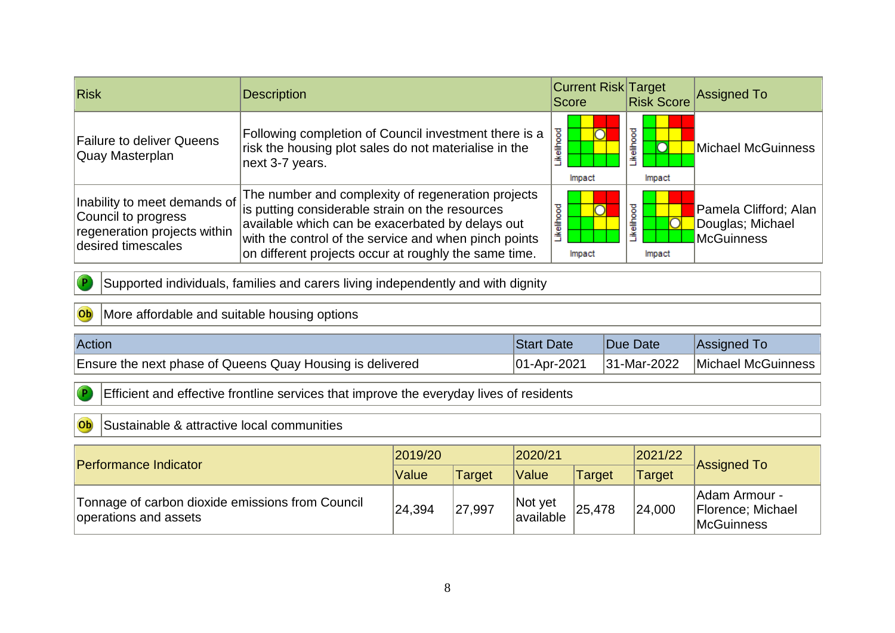| <b>Risk</b>                                                                                               | <b>Description</b>                                                                                                                                                                                                                                                          | <b>Current Risk Target</b><br>Score |                                              | Risk Score Assigned To                                         |  |
|-----------------------------------------------------------------------------------------------------------|-----------------------------------------------------------------------------------------------------------------------------------------------------------------------------------------------------------------------------------------------------------------------------|-------------------------------------|----------------------------------------------|----------------------------------------------------------------|--|
| <b>Failure to deliver Queens</b><br>Quay Masterplan                                                       | Following completion of Council investment there is a<br>risk the housing plot sales do not materialise in the<br>next 3-7 years.                                                                                                                                           | <b>kelihoo</b><br>Impact            | ikelihood<br>Impact                          | Michael McGuinness                                             |  |
| Inability to meet demands of<br>Council to progress<br>regeneration projects within<br>desired timescales | The number and complexity of regeneration projects<br>is putting considerable strain on the resources<br>available which can be exacerbated by delays out<br>with the control of the service and when pinch points<br>on different projects occur at roughly the same time. | kelihood<br>Impact                  | ikelihood<br>$\overline{\text{O}}$<br>Impact | Pamela Clifford; Alan<br>Douglas; Michael<br><b>McGuinness</b> |  |

Supported individuals, families and carers living independently and with dignity

### Ob More affordable and suitable housing options

 $\sqrt{P}$ 

 $\overline{P}$ 

| Action                                                    | : Date<br>Start  | Due Date    | <b>Assigned To</b> |
|-----------------------------------------------------------|------------------|-------------|--------------------|
| Ensure the next phase of Queens Quay Housing is delivered | $ 01 -$ Apr-2021 | 31-Mar-2022 | Michael McGuinness |

Efficient and effective frontline services that improve the everyday lives of residents

#### Ob Sustainable & attractive local communities

| Performance Indicator                                                     | 2019/20 |               | 2020/21              |               | 2021/22 |                                                          |  |
|---------------------------------------------------------------------------|---------|---------------|----------------------|---------------|---------|----------------------------------------------------------|--|
|                                                                           | Value   | <b>Target</b> | Value                | <b>Target</b> | Target  | Assigned To                                              |  |
| Tonnage of carbon dioxide emissions from Council<br>operations and assets | 24,394  | 27,997        | Not yet<br>available | 25,478        | 24,000  | lAdam Armour -<br>Florence; Michael<br><b>McGuinness</b> |  |